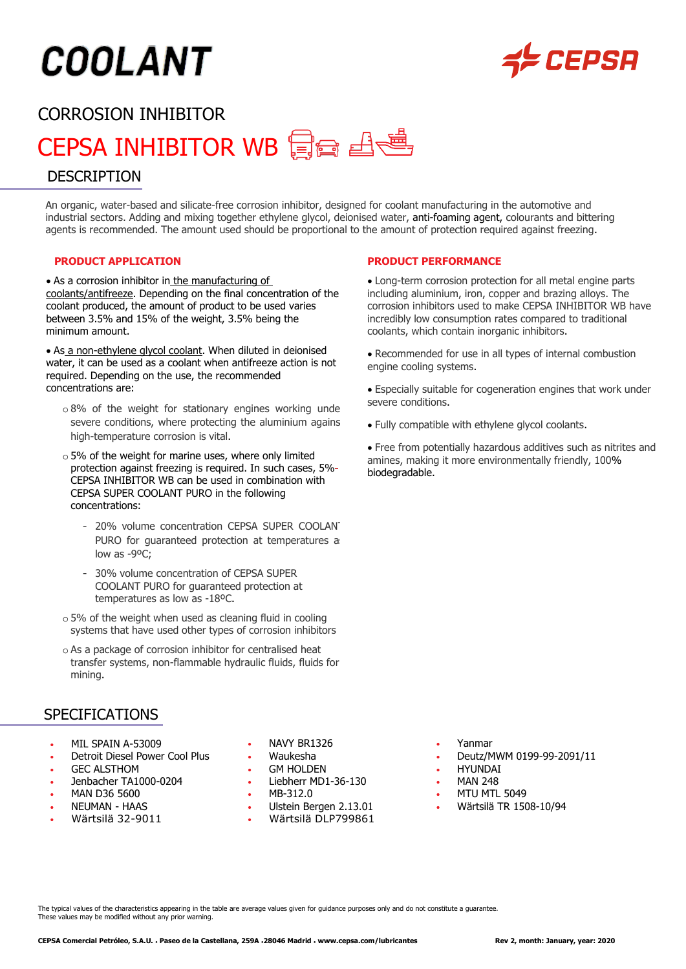# **COOLANT**



## CORROSION INHIBITOR

# CEPSA INHIBITOR WB 日日通

#### **DESCRIPTION**

An organic, water-based and silicate-free corrosion inhibitor, designed for coolant manufacturing in the automotive and industrial sectors. Adding and mixing together ethylene glycol, deionised water, anti-foaming agent, colourants and bittering agents is recommended. The amount used should be proportional to the amount of protection required against freezing.

#### **PRODUCT APPLICATION**

• As a corrosion inhibitor in the manufacturing of coolants/antifreeze. Depending on the final concentration of the coolant produced, the amount of product to be used varies between 3.5% and 15% of the weight, 3.5% being the minimum amount.

• As a non-ethylene glycol coolant. When diluted in deionised water, it can be used as a coolant when antifreeze action is not required. Depending on the use, the recommended concentrations are:

- $\circ$  8% of the weight for stationary engines working unde severe conditions, where protecting the aluminium agains high-temperature corrosion is vital.
- $\circ$  5% of the weight for marine uses, where only limited protection against freezing is required. In such cases, 5% CEPSA INHIBITOR WB can be used in combination with CEPSA SUPER COOLANT PURO in the following concentrations:
	- 20% volume concentration CEPSA SUPER COOLANT PURO for quaranteed protection at temperatures as low as -9°C:
	- 30% volume concentration of CEPSA SUPER COOLANT PURO for guaranteed protection at temperatures as low as -18ºC.
- o 5% of the weight when used as cleaning fluid in cooling systems that have used other types of corrosion inhibitors
- o As a package of corrosion inhibitor for centralised heat transfer systems, non-flammable hydraulic fluids, fluids for mining.

#### **SPECIFICATIONS**

- MIL SPAIN A-53009 NAVY BR1326 Yanmar
- 
- 
- Jenbacher TA1000-0204 Liebherr MD1-36-130 MAN 248
- 
- 
- 
- 
- 
- GEC ALSTHOM GM HOLDEN HYUNDAI
	-
	-
- NEUMAN HAAS Ulstein Bergen 2.13.01 Wärtsilä TR 1508-10/94 • Wärtsilä 32-9011 • Wärtsilä DLP799861
- **PRODUCT PERFORMANCE**
- Long-term corrosion protection for all metal engine parts including aluminium, iron, copper and brazing alloys. The corrosion inhibitors used to make CEPSA INHIBITOR WB have incredibly low consumption rates compared to traditional coolants, which contain inorganic inhibitors.
- Recommended for use in all types of internal combustion engine cooling systems.
- Especially suitable for cogeneration engines that work under severe conditions.
- Fully compatible with ethylene glycol coolants.
- Free from potentially hazardous additives such as nitrites and amines, making it more environmentally friendly, 100% biodegradable.

- 
- Detroit Diesel Power Cool Plus Waukesha Deutz/MWM 0199-99-2091/11
	-
	-
- MAN D36 5600 MB-312.0 MTU MTL 5049
	-

The typical values of the characteristics appearing in the table are average values given for guidance purposes only and do not constitute a guarantee. These values may be modified without any prior warning.